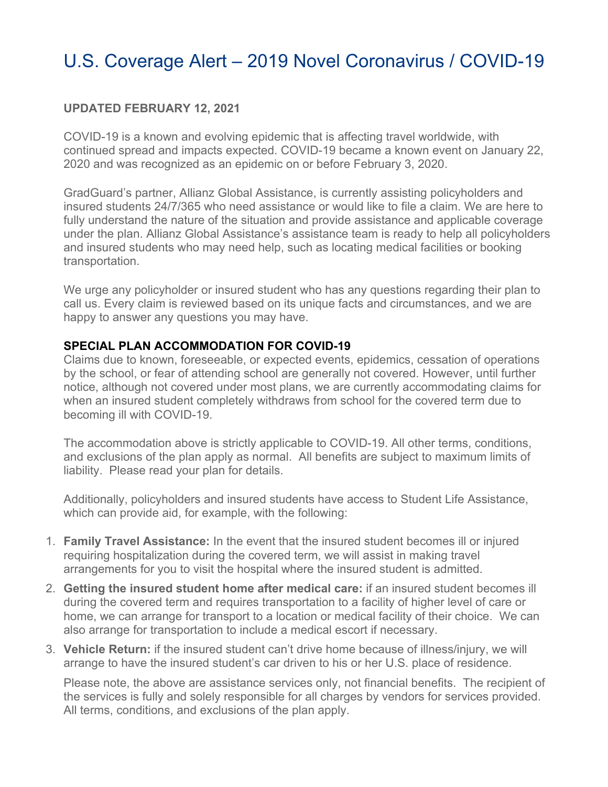### U.S. Coverage Alert – 2019 Novel Coronavirus / COVID-19

### **UPDATED FEBRUARY 12, 2021**

COVID-19 is a known and evolving epidemic that is affecting travel worldwide, with continued spread and impacts expected. COVID-19 became a known event on January 22, 2020 and was recognized as an epidemic on or before February 3, 2020.

GradGuard's partner, Allianz Global Assistance, is currently assisting policyholders and insured students 24/7/365 who need assistance or would like to file a claim. We are here to fully understand the nature of the situation and provide assistance and applicable coverage under the plan. Allianz Global Assistance's assistance team is ready to help all policyholders and insured students who may need help, such as locating medical facilities or booking transportation.

We urge any policyholder or insured student who has any questions regarding their plan to call us. Every claim is reviewed based on its unique facts and circumstances, and we are happy to answer any questions you may have.

### **SPECIAL PLAN ACCOMMODATION FOR COVID-19**

Claims due to known, foreseeable, or expected events, epidemics, cessation of operations by the school, or fear of attending school are generally not covered. However, until further notice, although not covered under most plans, we are currently accommodating claims for when an insured student completely withdraws from school for the covered term due to becoming ill with COVID-19.

The accommodation above is strictly applicable to COVID-19. All other terms, conditions, and exclusions of the plan apply as normal. All benefits are subject to maximum limits of liability. Please read your plan for details.

Additionally, policyholders and insured students have access to Student Life Assistance, which can provide aid, for example, with the following:

- 1. **Family Travel Assistance:** In the event that the insured student becomes ill or injured requiring hospitalization during the covered term, we will assist in making travel arrangements for you to visit the hospital where the insured student is admitted.
- 2. **Getting the insured student home after medical care:** if an insured student becomes ill during the covered term and requires transportation to a facility of higher level of care or home, we can arrange for transport to a location or medical facility of their choice. We can also arrange for transportation to include a medical escort if necessary.
- 3. **Vehicle Return:** if the insured student can't drive home because of illness/injury, we will arrange to have the insured student's car driven to his or her U.S. place of residence.

Please note, the above are assistance services only, not financial benefits. The recipient of the services is fully and solely responsible for all charges by vendors for services provided. All terms, conditions, and exclusions of the plan apply.